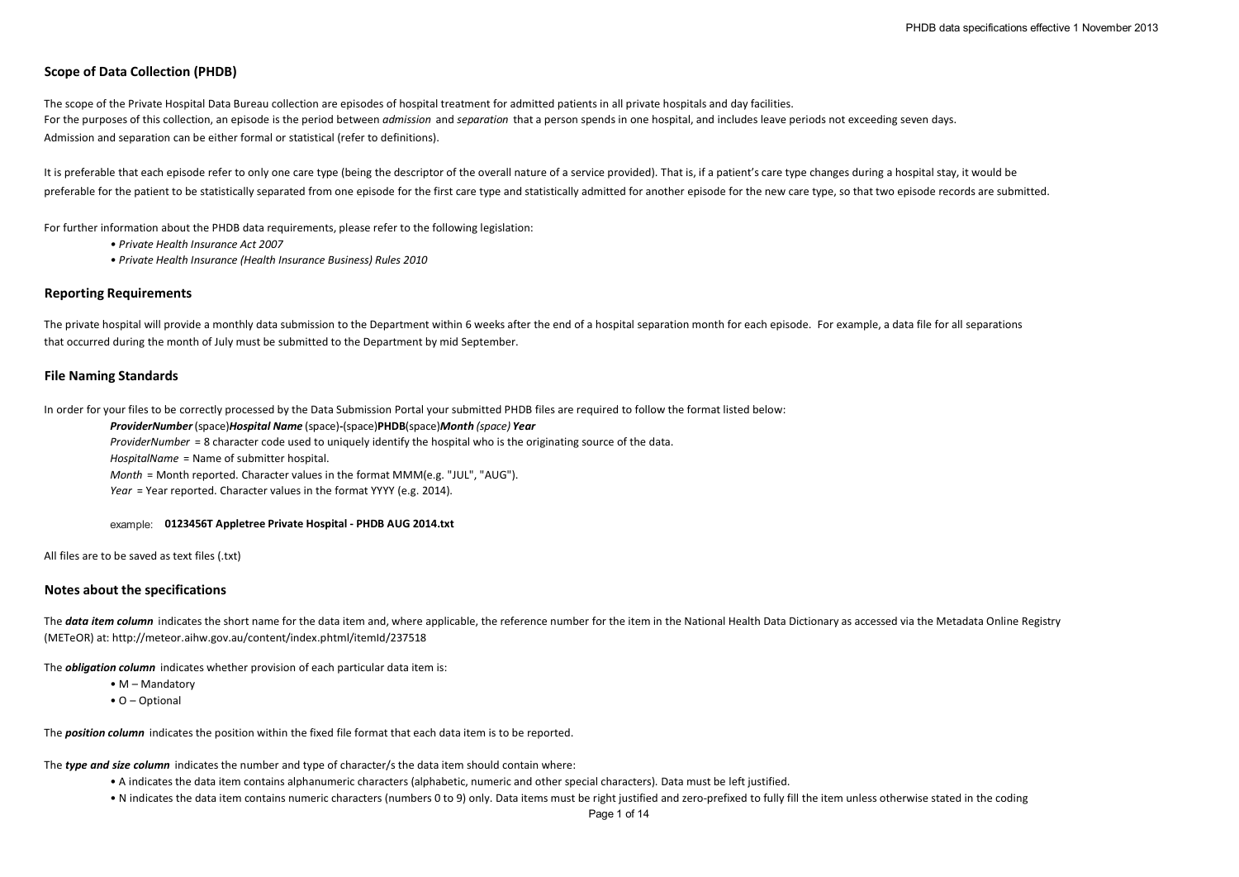# **Scope of Data Collection (PHDB)**

The scope of the Private Hospital Data Bureau collection are episodes of hospital treatment for admitted patients in all private hospitals and day facilities. For the purposes of this collection, an episode is the period between *admission* and *separation* that a person spends in one hospital, and includes leave periods not exceeding seven days. Admission and separation can be either formal or statistical (refer to definitions).

It is preferable that each episode refer to only one care type (being the descriptor of the overall nature of a service provided). That is, if a patient's care type changes during a hospital stay, it would be preferable for the patient to be statistically separated from one episode for the first care type and statistically admitted for another episode for the new care type, so that two episode records are submitted.

For further information about the PHDB data requirements, please refer to the following legislation:

- *Private Health Insurance Act 2007*
- *Private Health Insurance (Health Insurance Business) Rules 2010*

## **Reporting Requirements**

The private hospital will provide a monthly data submission to the Department within 6 weeks after the end of a hospital separation month for each episode. For example, a data file for all separations that occurred during the month of July must be submitted to the Department by mid September.

# **File Naming Standards**

In order for your files to be correctly processed by the Data Submission Portal your submitted PHDB files are required to follow the format listed below:

#### *ProviderNumber*(space)*Hospital Name* (space)**-**(space)**PHDB**(space)*Month (space) Year*

*ProviderNumber* = 8 character code used to uniquely identify the hospital who is the originating source of the data.

*HospitalName* = Name of submitter hospital.

*Month* = Month reported. Character values in the format MMM(e.g. "JUL", "AUG").

*Year* = Year reported. Character values in the format YYYY (e.g. 2014).

example: **0123456T Appletree Private Hospital - PHDB AUG 2014.txt**

All files are to be saved as text files (.txt)

# **Notes about the specifications**

The **data item column** indicates the short name for the data item and, where applicable, the reference number for the item in the National Health Data Dictionary as accessed via the Metadata Online Registry (METeOR) at: http://meteor.aihw.gov.au/content/index.phtml/itemId/237518

The *obligation column* indicates whether provision of each particular data item is:

- M Mandatory
- O Optional

The *position column* indicates the position within the fixed file format that each data item is to be reported.

The *type and size column* indicates the number and type of character/s the data item should contain where:

- A indicates the data item contains alphanumeric characters (alphabetic, numeric and other special characters). Data must be left justified.
- N indicates the data item contains numeric characters (numbers 0 to 9) only. Data items must be right justified and zero-prefixed to fully fill the item unless otherwise stated in the coding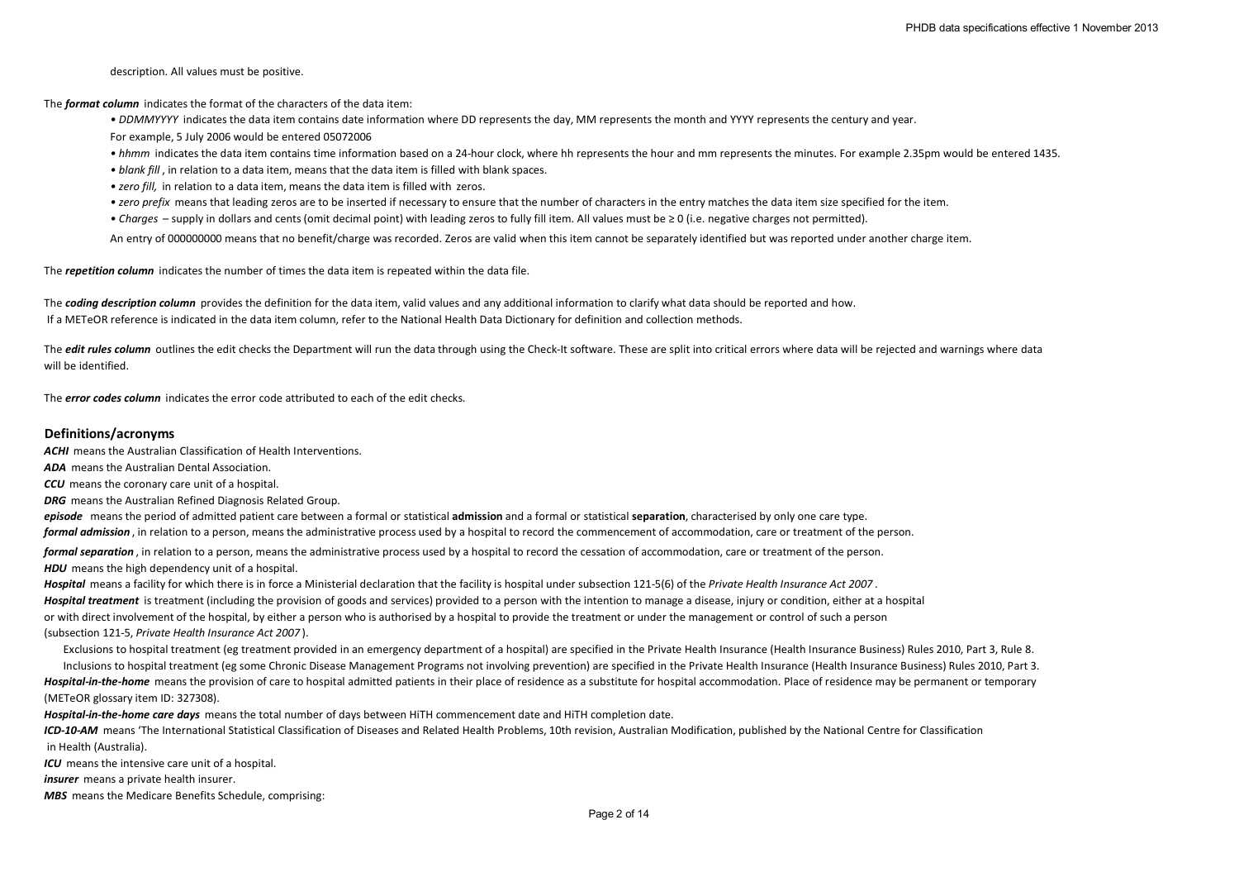description. All values must be positive.

The *format column* indicates the format of the characters of the data item:

*• DDMMYYYY* indicates the data item contains date information where DD represents the day, MM represents the month and YYYY represents the century and year. For example, 5 July 2006 would be entered 05072006

- hhmm indicates the data item contains time information based on a 24-hour clock, where hh represents the hour and mm represents the minutes. For example 2.35pm would be entered 1435.
- *blank fill* , in relation to a data item, means that the data item is filled with blank spaces.
- *zero fill,* in relation to a data item, means the data item is filled with zeros.
- *zero prefix* means that leading zeros are to be inserted if necessary to ensure that the number of characters in the entry matches the data item size specified for the item.
- *Charges*  supply in dollars and cents (omit decimal point) with leading zeros to fully fill item. All values must be ≥ 0 (i.e. negative charges not permitted).

An entry of 000000000 means that no benefit/charge was recorded. Zeros are valid when this item cannot be separately identified but was reported under another charge item.

The *repetition column* indicates the number of times the data item is repeated within the data file.

The **coding description column** provides the definition for the data item, valid values and any additional information to clarify what data should be reported and how. If a METeOR reference is indicated in the data item column, refer to the National Health Data Dictionary for definition and collection methods.

The *edit rules column* outlines the edit checks the Department will run the data through using the Check-It software. These are split into critical errors where data will be rejected and warnings where data will be identified.

The *error codes column* indicates the error code attributed to each of the edit checks.

## **Definitions/acronyms**

*ACHI* means the Australian Classification of Health Interventions.

*ADA* means the Australian Dental Association.

*CCU* means the coronary care unit of a hospital.

*DRG* means the Australian Refined Diagnosis Related Group.

*episode* means the period of admitted patient care between a formal or statistical **admission** and a formal or statistical **separation**, characterised by only one care type. *formal admission* , in relation to a person, means the administrative process used by a hospital to record the commencement of accommodation, care or treatment of the person.

*formal separation* , in relation to a person, means the administrative process used by a hospital to record the cessation of accommodation, care or treatment of the person. **HDU** means the high dependency unit of a hospital.

*Hospital* means a facility for which there is in force a Ministerial declaration that the facility is hospital under subsection 121-5(6) of the *Private Health Insurance Act 2007* . *Hospital treatment* is treatment (including the provision of goods and services) provided to a person with the intention to manage a disease, injury or condition, either at a hospital or with direct involvement of the hospital, by either a person who is authorised by a hospital to provide the treatment or under the management or control of such a person (subsection 121-5, *Private Health Insurance Act 2007* ).

Exclusions to hospital treatment (eg treatment provided in an emergency department of a hospital) are specified in the Private Health Insurance (Health Insurance Business) Rules 2010, Part 3, Rule 8. Inclusions to hospital treatment (eg some Chronic Disease Management Programs not involving prevention) are specified in the Private Health Insurance (Health Insurance Business) Rules 2010, Part 3. Hospital-in-the-home means the provision of care to hospital admitted patients in their place of residence as a substitute for hospital accommodation. Place of residence may be permanent or temporary (METeOR glossary item ID: 327308).

*Hospital-in-the-home care days* means the total number of days between HiTH commencement date and HiTH completion date.

*ICD-10-AM* means 'The International Statistical Classification of Diseases and Related Health Problems, 10th revision, Australian Modification, published by the National Centre for Classification in Health (Australia). *ICU* means the intensive care unit of a hospital.

*insurer* means a private health insurer.

*MBS* means the Medicare Benefits Schedule, comprising: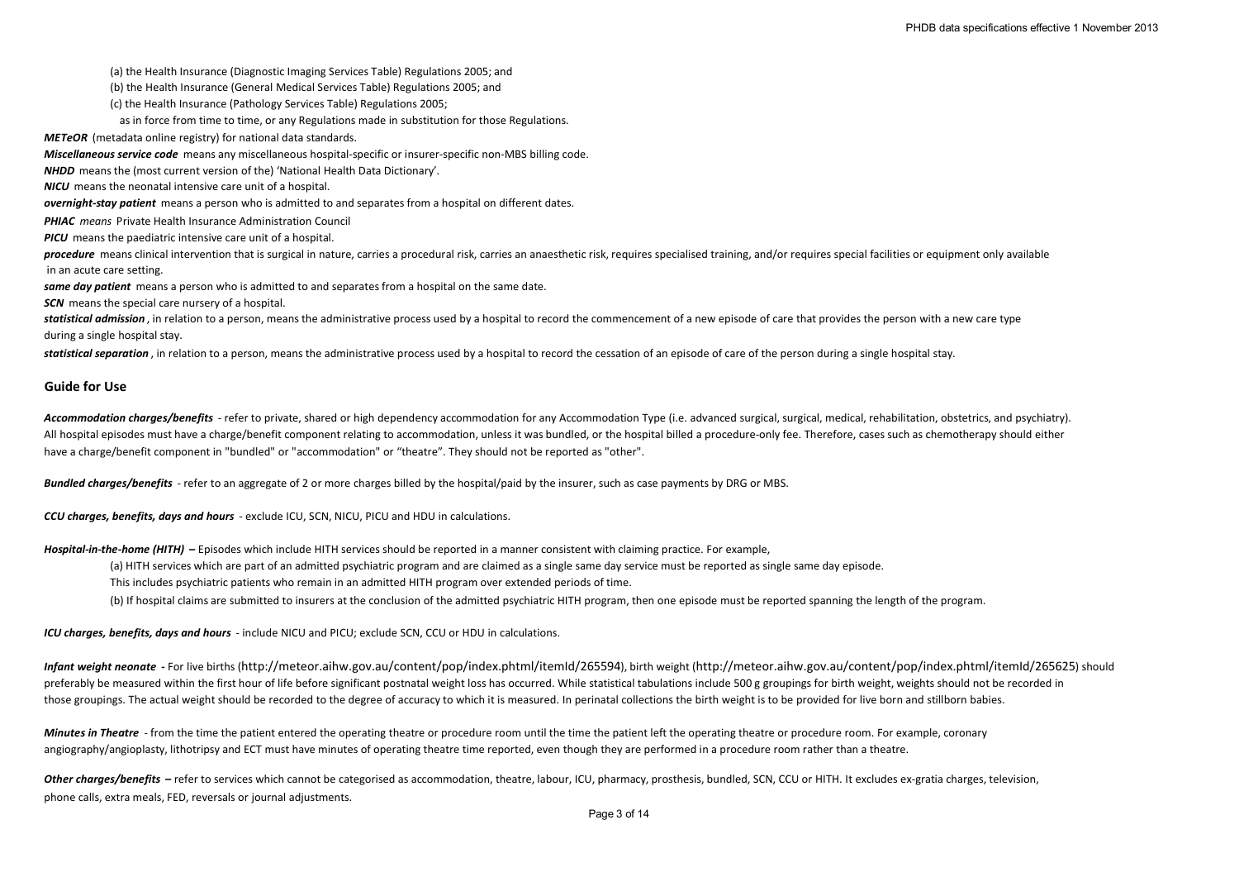(a) the Health Insurance (Diagnostic Imaging Services Table) Regulations 2005; and

(b) the Health Insurance (General Medical Services Table) Regulations 2005; and

(c) the Health Insurance (Pathology Services Table) Regulations 2005;

as in force from time to time, or any Regulations made in substitution for those Regulations.

*METeOR* (metadata online registry) for national data standards.

*Miscellaneous service code* means any miscellaneous hospital-specific or insurer-specific non-MBS billing code.

*NHDD* means the (most current version of the) 'National Health Data Dictionary'.

*NICU* means the neonatal intensive care unit of a hospital.

*overnight-stay patient* means a person who is admitted to and separates from a hospital on different dates.

*PHIAC means* Private Health Insurance Administration Council

*PICU* means the paediatric intensive care unit of a hospital.

*procedure* means clinical intervention that is surgical in nature, carries a procedural risk, carries an anaesthetic risk, requires specialised training, and/or requires special facilities or equipment only available in an acute care setting.

*same day patient* means a person who is admitted to and separates from a hospital on the same date.

**SCN** means the special care nursery of a hospital.

statistical admission, in relation to a person, means the administrative process used by a hospital to record the commencement of a new episode of care that provides the person with a new care type during a single hospital stay.

*statistical separation* , in relation to a person, means the administrative process used by a hospital to record the cessation of an episode of care of the person during a single hospital stay.

## **Guide for Use**

*Accommodation charges/benefits* - refer to private, shared or high dependency accommodation for any Accommodation Type (i.e. advanced surgical, surgical, medical, rehabilitation, obstetrics, and psychiatry). All hospital episodes must have a charge/benefit component relating to accommodation, unless it was bundled, or the hospital billed a procedure-only fee. Therefore, cases such as chemotherapy should either have a charge/benefit component in "bundled" or "accommodation" or "theatre". They should not be reported as "other".

*Bundled charges/benefits* - refer to an aggregate of 2 or more charges billed by the hospital/paid by the insurer, such as case payments by DRG or MBS.

*CCU charges, benefits, days and hours* - exclude ICU, SCN, NICU, PICU and HDU in calculations.

*Hospital-in-the-home (HITH)* **–** Episodes which include HITH services should be reported in a manner consistent with claiming practice. For example,

(a) HITH services which are part of an admitted psychiatric program and are claimed as a single same day service must be reported as single same day episode.

This includes psychiatric patients who remain in an admitted HITH program over extended periods of time.

(b) If hospital claims are submitted to insurers at the conclusion of the admitted psychiatric HITH program, then one episode must be reported spanning the length of the program.

*ICU charges, benefits, days and hours* - include NICU and PICU; exclude SCN, CCU or HDU in calculations.

*Infant weight neonate* **-** For live births (http://meteor.aihw.gov.au/content/pop/index.phtml/itemId/265594), birth weight (http://meteor.aihw.gov.au/content/pop/index.phtml/itemId/265625) should preferably be measured within the first hour of life before significant postnatal weight loss has occurred. While statistical tabulations include 500 g groupings for birth weight, weights should not be recorded in those groupings. The actual weight should be recorded to the degree of accuracy to which it is measured. In perinatal collections the birth weight is to be provided for live born and stillborn babies.

*Minutes in Theatre* - from the time the patient entered the operating theatre or procedure room until the time the patient left the operating theatre or procedure room. For example, coronary angiography/angioplasty, lithotripsy and ECT must have minutes of operating theatre time reported, even though they are performed in a procedure room rather than a theatre.

Other charges/benefits – refer to services which cannot be categorised as accommodation, theatre, labour, ICU, pharmacy, prosthesis, bundled, SCN, CCU or HITH. It excludes ex-gratia charges, television, phone calls, extra meals, FED, reversals or journal adjustments.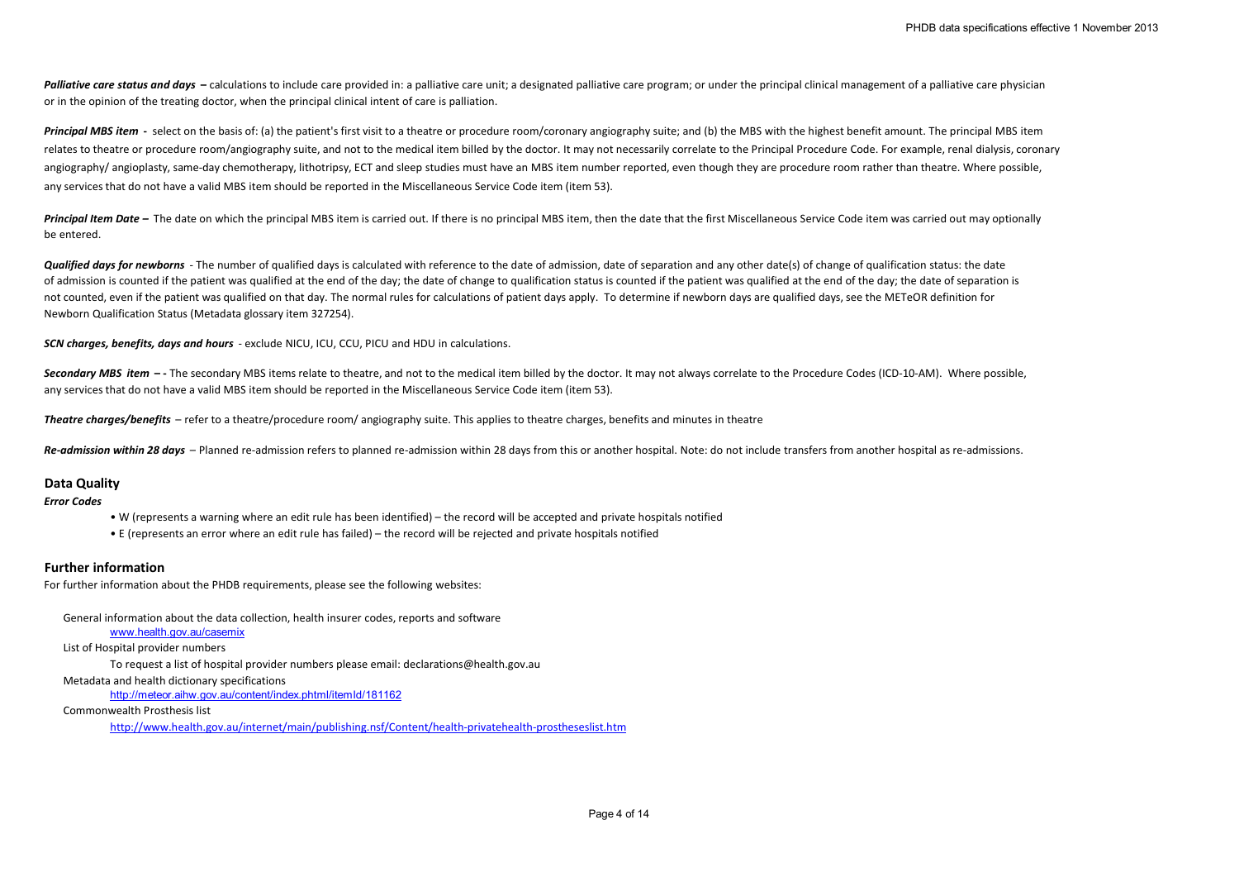Palliative care status and days - calculations to include care provided in: a palliative care unit: a designated palliative care program: or under the principal clinical management of a palliative care physician or in the opinion of the treating doctor, when the principal clinical intent of care is palliation.

**Principal MBS item** - select on the basis of: (a) the patient's first visit to a theatre or procedure room/coronary angiography suite; and (b) the MBS with the highest benefit amount. The principal MBS item relates to theatre or procedure room/angiography suite, and not to the medical item billed by the doctor. It may not necessarily correlate to the Principal Procedure Code. For example, renal dialysis, coronary angiography/angioplasty, same-day chemotherapy, lithotripsy, ECT and sleep studies must have an MBS item number reported, even though they are procedure room rather than theatre. Where possible, any services that do not have a valid MBS item should be reported in the Miscellaneous Service Code item (item 53).

Principal Item Date – The date on which the principal MBS item is carried out. If there is no principal MBS item, then the date that the first Miscellaneous Service Code item was carried out may optionally be entered.

**Qualified days for newborns** - The number of qualified days is calculated with reference to the date of admission, date of separation and any other date(s) of change of qualification status: the date of admission is counted if the patient was qualified at the end of the day; the date of change to qualification status is counted if the patient was qualified at the end of the day; the date of separation is not counted, even if the patient was qualified on that day. The normal rules for calculations of patient days apply. To determine if newborn days are qualified days, see the METeOR definition for Newborn Qualification Status (Metadata glossary item 327254).

*SCN charges, benefits, days and hours* - exclude NICU, ICU, CCU, PICU and HDU in calculations.

Secondary MBS item  $-$ -The secondary MBS items relate to theatre, and not to the medical item billed by the doctor. It may not always correlate to the Procedure Codes (ICD-10-AM). Where possible, any services that do not have a valid MBS item should be reported in the Miscellaneous Service Code item (item 53).

*Theatre charges/benefits* – refer to a theatre/procedure room/ angiography suite. This applies to theatre charges, benefits and minutes in theatre

*Re-admission within 28 days* – Planned re-admission refers to planned re-admission within 28 days from this or another hospital. Note: do not include transfers from another hospital as re-admissions.

# **Data Quality**

*Error Codes*

- W (represents a warning where an edit rule has been identified) the record will be accepted and private hospitals notified
- E (represents an error where an edit rule has failed) the record will be rejected and private hospitals notified

## **Further information**

For further information about the PHDB requirements, please see the following websites:

General information about the data collection, health insurer codes, reports and software

### www.health.gov.au/casemix

#### List of Hospital provider numbers

To request a list of hospital provider numbers please email: declarations@health.gov.au

Metadata and health dictionary specifications

http://meteor.aihw.gov.au/content/index.phtml/itemId/181162

Commonwealth Prosthesis list

http://www.health.gov.au/internet/main/publishing.nsf/Content/health-privatehealth-prostheseslist.htm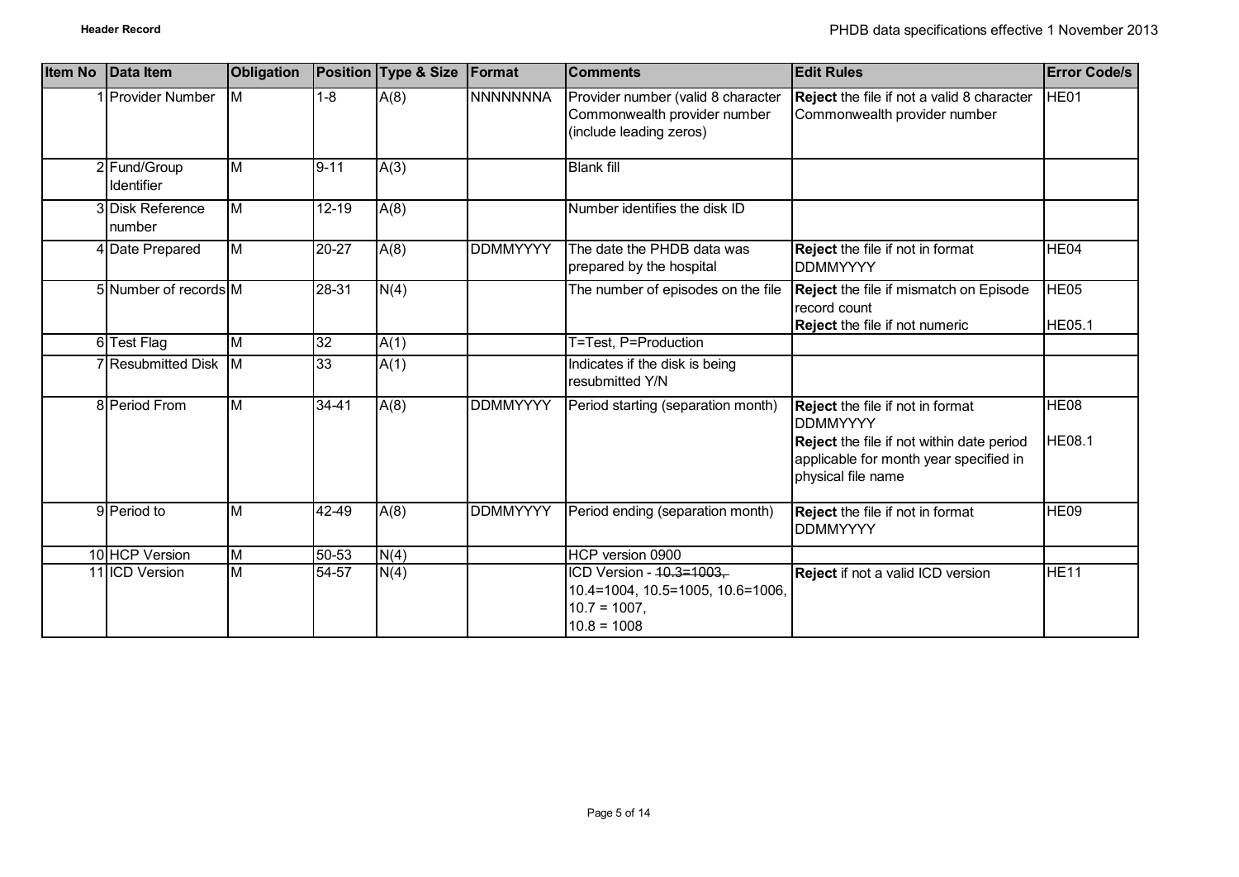| <b>Item No</b> | Data Item                         | <b>Obligation</b>       |           | Position Type & Size | Format          | <b>Comments</b>                                                                                  | <b>Edit Rules</b>                                                                                                                                                | <b>Error Code/s</b>               |
|----------------|-----------------------------------|-------------------------|-----------|----------------------|-----------------|--------------------------------------------------------------------------------------------------|------------------------------------------------------------------------------------------------------------------------------------------------------------------|-----------------------------------|
|                | <b>Provider Number</b>            | $\overline{\mathsf{M}}$ | $1 - 8$   | A(8)                 | <b>NNNNNNNA</b> | Provider number (valid 8 character<br>Commonwealth provider number<br>(include leading zeros)    | Reject the file if not a valid 8 character<br>Commonwealth provider number                                                                                       | HE01                              |
|                | 2 Fund/Group<br><b>Identifier</b> | M                       | $9 - 11$  | A(3)                 |                 | <b>Blank fill</b>                                                                                |                                                                                                                                                                  |                                   |
|                | 3 Disk Reference<br>number        | M                       | $12 - 19$ | A(8)                 |                 | Number identifies the disk ID                                                                    |                                                                                                                                                                  |                                   |
|                | 4 Date Prepared                   | M                       | 20-27     | A(8)                 | <b>DDMMYYYY</b> | The date the PHDB data was<br>prepared by the hospital                                           | <b>Reject</b> the file if not in format<br><b>DDMMYYYY</b>                                                                                                       | HE <sub>04</sub>                  |
|                | 5 Number of records M             |                         | $28 - 31$ | N(4)                 |                 | The number of episodes on the file                                                               | Reject the file if mismatch on Episode<br>record count<br>Reject the file if not numeric                                                                         | HE <sub>05</sub><br><b>HE05.1</b> |
|                | 6 Test Flag                       | M                       | 32        | A(1)                 |                 | T=Test, P=Production                                                                             |                                                                                                                                                                  |                                   |
|                | 7 Resubmitted Disk M              |                         | 33        | A(1)                 |                 | Indicates if the disk is being<br>resubmitted Y/N                                                |                                                                                                                                                                  |                                   |
|                | 8 Period From                     | M                       | 34-41     | A(8)                 | <b>DDMMYYYY</b> | Period starting (separation month)                                                               | Reject the file if not in format<br><b>DDMMYYYY</b><br>Reject the file if not within date period<br>applicable for month year specified in<br>physical file name | HE <sub>08</sub><br><b>HE08.1</b> |
|                | 9 Period to                       | M                       | 42-49     | A(8)                 | <b>DDMMYYYY</b> | Period ending (separation month)                                                                 | <b>Reject</b> the file if not in format<br><b>DDMMYYYY</b>                                                                                                       | HE09                              |
|                | 10 HCP Version                    | M                       | 50-53     | N(4)                 |                 | HCP version 0900                                                                                 |                                                                                                                                                                  |                                   |
|                | 11 ICD Version                    | M                       | $54 - 57$ | N(4)                 |                 | ICD Version - 40.3=1003.<br>10.4=1004, 10.5=1005, 10.6=1006,<br>$10.7 = 1007$ ,<br>$10.8 = 1008$ | Reject if not a valid ICD version                                                                                                                                | HE11                              |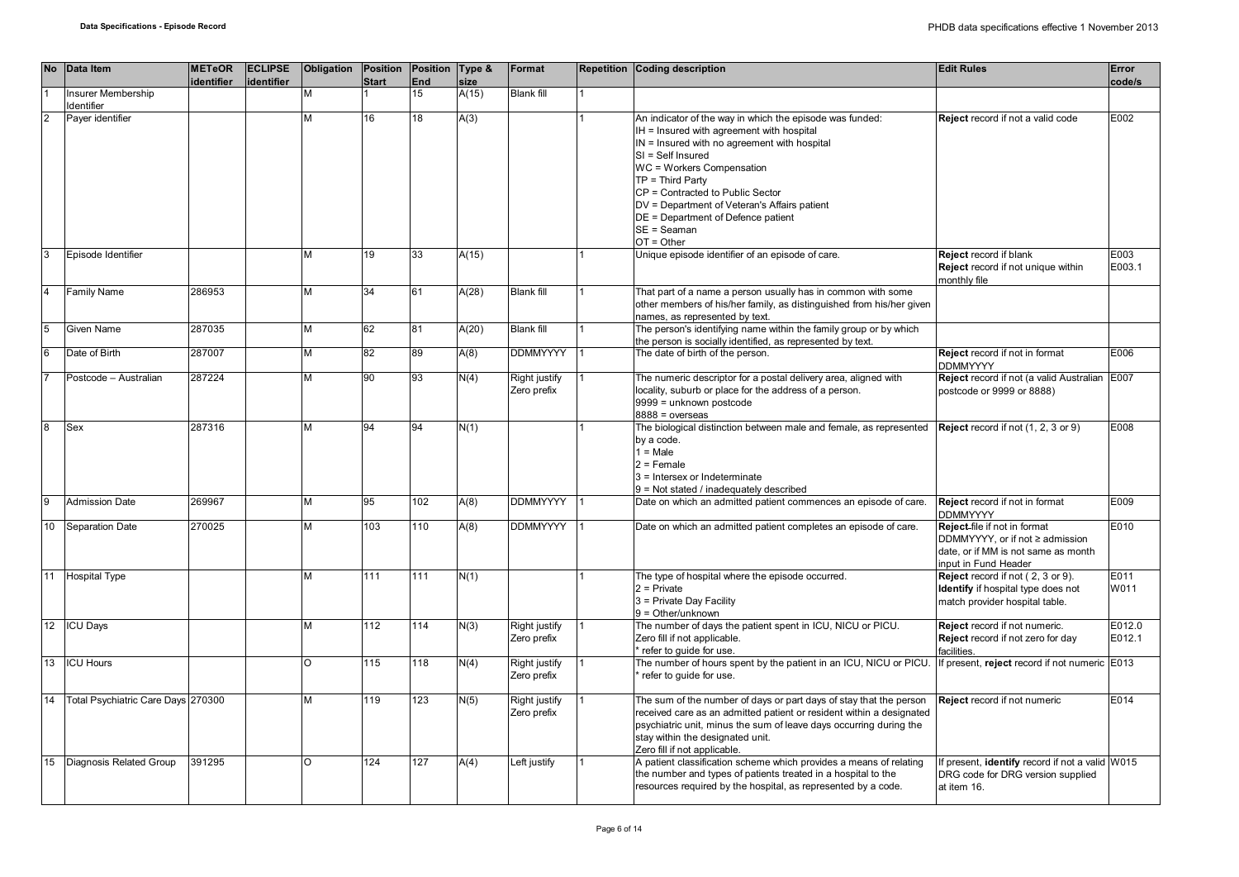|                | No Data Item                       | <b>METeOR</b><br>identifier | <b>ECLIPSE</b><br>identifier | Obligation | <b>Start</b> | Position Position Type &<br><b>End</b> | size  | Format                       | Repetition Coding description                                                                                                                                                                                                                                                                                                                                                            | <b>Edit Rules</b>                                                                                                              | Error<br>code/s  |
|----------------|------------------------------------|-----------------------------|------------------------------|------------|--------------|----------------------------------------|-------|------------------------------|------------------------------------------------------------------------------------------------------------------------------------------------------------------------------------------------------------------------------------------------------------------------------------------------------------------------------------------------------------------------------------------|--------------------------------------------------------------------------------------------------------------------------------|------------------|
|                | Insurer Membership<br>Identifier   |                             |                              | M          |              | 15                                     | A(15) | <b>Blank fill</b>            |                                                                                                                                                                                                                                                                                                                                                                                          |                                                                                                                                |                  |
| $\overline{2}$ | Payer identifier                   |                             |                              | M          | 16           | 18                                     | A(3)  |                              | An indicator of the way in which the episode was funded:<br>IH = Insured with agreement with hospital<br>IN = Insured with no agreement with hospital<br>SI = Self Insured<br>WC = Workers Compensation<br>$TP = Third Party$<br>CP = Contracted to Public Sector<br>DV = Department of Veteran's Affairs patient<br>DE = Department of Defence patient<br>$SE = Seaman$<br>$OT = Other$ | Reject record if not a valid code                                                                                              | E002             |
| 3              | Episode Identifier                 |                             |                              | M          | 19           | 33                                     | A(15) |                              | Unique episode identifier of an episode of care.                                                                                                                                                                                                                                                                                                                                         | Reject record if blank<br>Reject record if not unique within<br>monthly file                                                   | E003<br>E003.1   |
| $\overline{4}$ | <b>Family Name</b>                 | 286953                      |                              | M          | 34           | 61                                     | A(28) | <b>Blank fill</b>            | That part of a name a person usually has in common with some<br>other members of his/her family, as distinguished from his/her given<br>names, as represented by text.                                                                                                                                                                                                                   |                                                                                                                                |                  |
| $\overline{5}$ | Given Name                         | 287035                      |                              | M          | 62           | 81                                     | A(20) | <b>Blank fill</b>            | The person's identifying name within the family group or by which<br>the person is socially identified, as represented by text.                                                                                                                                                                                                                                                          |                                                                                                                                |                  |
| 6              | Date of Birth                      | 287007                      |                              | M          | 82           | 89                                     | A(8)  | <b>DDMMYYYY</b>              | The date of birth of the person.                                                                                                                                                                                                                                                                                                                                                         | Reject record if not in format<br><b>DDMMYYYY</b>                                                                              | E006             |
|                | Postcode - Australian              | 287224                      |                              | M          | 90           | 93                                     | N(4)  | Right justify<br>Zero prefix | The numeric descriptor for a postal delivery area, aligned with<br>locality, suburb or place for the address of a person.<br>9999 = unknown postcode<br>$8888 = 0$ overseas                                                                                                                                                                                                              | Reject record if not (a valid Australian E007<br>postcode or 9999 or 8888)                                                     |                  |
| 8              | Sex                                | 287316                      |                              | M          | 94           | 94                                     | N(1)  |                              | The biological distinction between male and female, as represented<br>by a code.<br>$1 = Male$<br>$2 =$ Female<br>3 = Intersex or Indeterminate<br>9 = Not stated / inadequately described                                                                                                                                                                                               | <b>Reject</b> record if not (1, 2, 3 or 9)                                                                                     | E008             |
| 9              | <b>Admission Date</b>              | 269967                      |                              | M          | 95           | 102                                    | A(8)  | <b>DDMMYYYY</b>              | Date on which an admitted patient commences an episode of care.                                                                                                                                                                                                                                                                                                                          | Reject record if not in format<br><b>DDMMYYYY</b>                                                                              | E009             |
| 10             | Separation Date                    | 270025                      |                              | M          | 103          | 110                                    | A(8)  | <b>DDMMYYYY</b>              | Date on which an admitted patient completes an episode of care.                                                                                                                                                                                                                                                                                                                          | Reject-file if not in format<br>DDMMYYYY, or if not ≥ admission<br>date, or if MM is not same as month<br>input in Fund Header | E010             |
| 11             | <b>Hospital Type</b>               |                             |                              | M          | 111          | 111                                    | N(1)  |                              | The type of hospital where the episode occurred.<br>$2$ = Private<br>3 = Private Day Facility<br>$9 = Other/unknown$                                                                                                                                                                                                                                                                     | Reject record if not (2, 3 or 9).<br>Identify if hospital type does not<br>match provider hospital table.                      | E011<br>W011     |
| 12             | <b>ICU Days</b>                    |                             |                              | M          | 112          | 114                                    | N(3)  | Right justify<br>Zero prefix | The number of days the patient spent in ICU, NICU or PICU.<br>Zero fill if not applicable.<br>refer to quide for use.                                                                                                                                                                                                                                                                    | Reject record if not numeric.<br>Reject record if not zero for day<br>facilities.                                              | E012.0<br>E012.1 |
| 13             | <b>ICU Hours</b>                   |                             |                              | O          | 115          | 118                                    | N(4)  | Right justify<br>Zero prefix | The number of hours spent by the patient in an ICU, NICU or PICU.<br>refer to quide for use.                                                                                                                                                                                                                                                                                             | If present, reject record if not numeric E013                                                                                  |                  |
| 14             | Total Psychiatric Care Days 270300 |                             |                              | M          | 119          | 123                                    | N(5)  | Right justify<br>Zero prefix | The sum of the number of days or part days of stay that the person<br>received care as an admitted patient or resident within a designated<br>psychiatric unit, minus the sum of leave days occurring during the<br>stay within the designated unit.<br>Zero fill if not applicable.                                                                                                     | Reject record if not numeric                                                                                                   | E014             |
| 15             | Diagnosis Related Group            | 391295                      |                              | $\circ$    | 124          | 127                                    | A(4)  | Left justify                 | A patient classification scheme which provides a means of relating<br>the number and types of patients treated in a hospital to the<br>resources required by the hospital, as represented by a code.                                                                                                                                                                                     | If present, identify record if not a valid W015<br>DRG code for DRG version supplied<br>at item 16.                            |                  |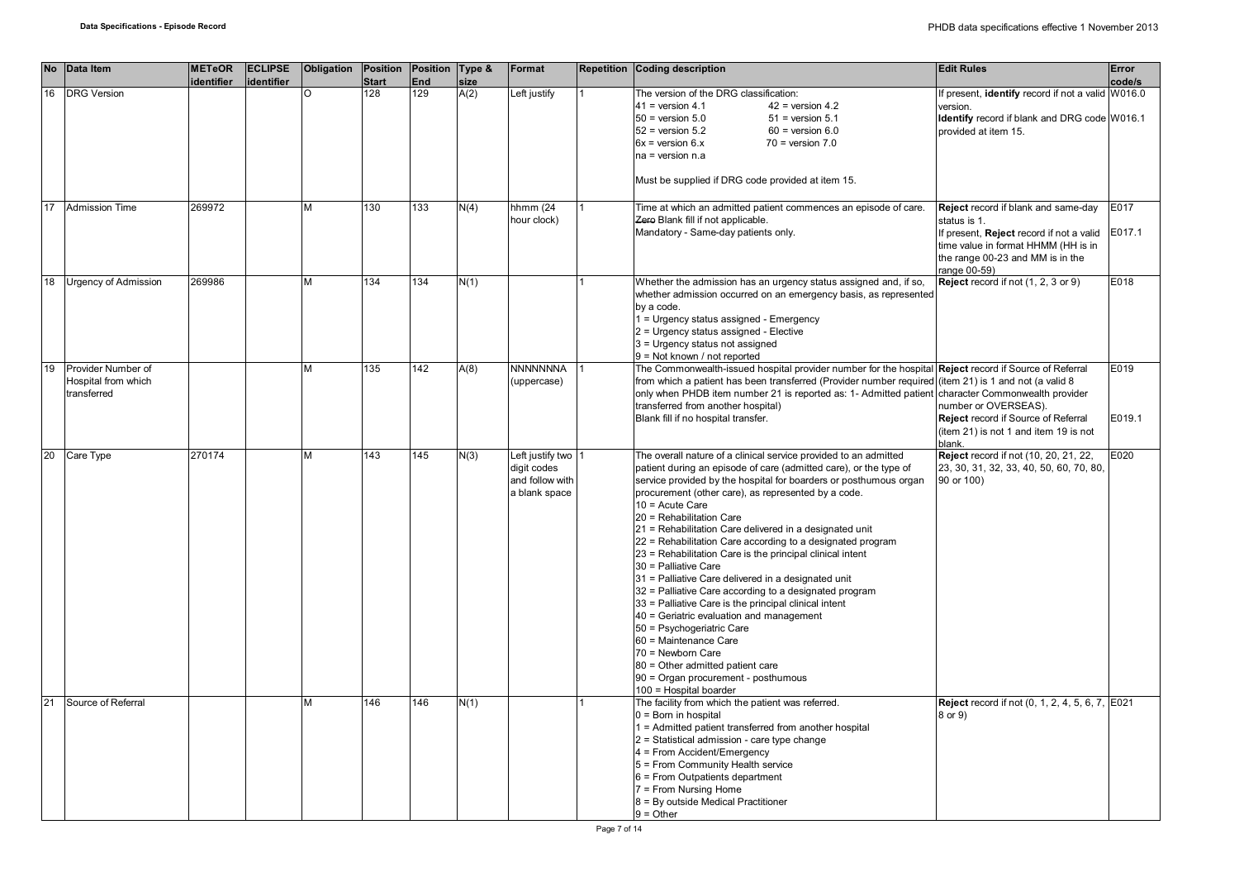|    | No Data Item                                             | <b>METeOR</b><br>identifier | <b>ECLIPSE</b><br>identifier | Obligation | Position<br><b>Start</b> | Position Type &<br>End | size | Format                                                                | Repetition Coding description                                                                                                                                                                                                                                                                                                                                                                                                                                                                                                                                                                                                                                                                                                                                                                                                                                                                                                        | <b>Edit Rules</b>                                                                                                                                                                          | Error<br>code/s |
|----|----------------------------------------------------------|-----------------------------|------------------------------|------------|--------------------------|------------------------|------|-----------------------------------------------------------------------|--------------------------------------------------------------------------------------------------------------------------------------------------------------------------------------------------------------------------------------------------------------------------------------------------------------------------------------------------------------------------------------------------------------------------------------------------------------------------------------------------------------------------------------------------------------------------------------------------------------------------------------------------------------------------------------------------------------------------------------------------------------------------------------------------------------------------------------------------------------------------------------------------------------------------------------|--------------------------------------------------------------------------------------------------------------------------------------------------------------------------------------------|-----------------|
| 16 | <b>DRG</b> Version                                       |                             |                              |            | 128                      | 129                    | A(2) | Left justify                                                          | The version of the DRG classification:                                                                                                                                                                                                                                                                                                                                                                                                                                                                                                                                                                                                                                                                                                                                                                                                                                                                                               | f present, identify record if not a valid W016.0                                                                                                                                           |                 |
|    |                                                          |                             |                              |            |                          |                        |      |                                                                       | $41$ = version 4.1<br>$42$ = version 4.2<br>$50$ = version $5.0$<br>$51$ = version $5.1$<br>$52$ = version $5.2$<br>$60$ = version $6.0$<br>$6x =$ version $6.x$<br>$70$ = version $7.0$<br>$na = version n.a$                                                                                                                                                                                                                                                                                                                                                                                                                                                                                                                                                                                                                                                                                                                       | version.<br>Identify record if blank and DRG code W016.1<br>provided at item 15.                                                                                                           |                 |
|    |                                                          |                             |                              |            |                          |                        |      |                                                                       | Must be supplied if DRG code provided at item 15.                                                                                                                                                                                                                                                                                                                                                                                                                                                                                                                                                                                                                                                                                                                                                                                                                                                                                    |                                                                                                                                                                                            |                 |
| 17 | <b>Admission Time</b>                                    | 269972                      |                              | м          | 130                      | 133                    | N(4) | hhmm (24<br>hour clock)                                               | Time at which an admitted patient commences an episode of care.<br>Zero Blank fill if not applicable.<br>Mandatory - Same-day patients only.                                                                                                                                                                                                                                                                                                                                                                                                                                                                                                                                                                                                                                                                                                                                                                                         | Reject record if blank and same-day<br>status is 1.<br>If present, Reject record if not a valid<br>time value in format HHMM (HH is in<br>the range 00-23 and MM is in the<br>range 00-59) | E017<br>E017.1  |
| 18 | <b>Urgency of Admission</b>                              | 269986                      |                              |            | 134                      | 134                    | N(1) |                                                                       | Whether the admission has an urgency status assigned and, if so,<br>whether admission occurred on an emergency basis, as represented<br>by a code.<br>1 = Urgency status assigned - Emergency<br>2 = Urgency status assigned - Elective<br>3 = Urgency status not assigned<br>$9 = Not known / not reported$                                                                                                                                                                                                                                                                                                                                                                                                                                                                                                                                                                                                                         | Reject record if not (1, 2, 3 or 9)                                                                                                                                                        | E018            |
| 19 | Provider Number of<br>Hospital from which<br>transferred |                             |                              | м          | 135                      | 142                    | A(8) | <b>NNNNNNNA</b><br>(uppercase)                                        | The Commonwealth-issued hospital provider number for the hospital Reject record if Source of Referral<br>from which a patient has been transferred (Provider number required (item 21) is 1 and not (a valid 8<br>only when PHDB item number 21 is reported as: 1- Admitted patient character Commonwealth provider<br>transferred from another hospital)<br>Blank fill if no hospital transfer.                                                                                                                                                                                                                                                                                                                                                                                                                                                                                                                                     | number or OVERSEAS).<br>Reject record if Source of Referral<br>(item 21) is not 1 and item 19 is not<br>blank.                                                                             | E019<br>E019.1  |
| 20 | Care Type                                                | 270174                      |                              | м          | 143                      | 145                    | N(3) | Left justify two 1<br>digit codes<br>and follow with<br>a blank space | The overall nature of a clinical service provided to an admitted<br>patient during an episode of care (admitted care), or the type of<br>service provided by the hospital for boarders or posthumous organ<br>procurement (other care), as represented by a code.<br>10 = Acute Care<br>20 = Rehabilitation Care<br>21 = Rehabilitation Care delivered in a designated unit<br>22 = Rehabilitation Care according to a designated program<br>23 = Rehabilitation Care is the principal clinical intent<br>30 = Palliative Care<br>31 = Palliative Care delivered in a designated unit<br>32 = Palliative Care according to a designated program<br>33 = Palliative Care is the principal clinical intent<br>40 = Geriatric evaluation and management<br>50 = Psychogeriatric Care<br>60 = Maintenance Care<br>70 = Newborn Care<br>80 = Other admitted patient care<br>90 = Organ procurement - posthumous<br>100 = Hospital boarder | Reject record if not (10, 20, 21, 22,<br>23, 30, 31, 32, 33, 40, 50, 60, 70, 80,<br>90 or 100)                                                                                             | E020            |
| 21 | Source of Referral                                       |                             |                              | м          | 146                      | 146                    | N(1) |                                                                       | The facility from which the patient was referred.<br>$0 =$ Born in hospital<br>1 = Admitted patient transferred from another hospital<br>2 = Statistical admission - care type change<br>4 = From Accident/Emergency<br>5 = From Community Health service<br>6 = From Outpatients department<br>7 = From Nursing Home<br>8 = By outside Medical Practitioner<br>$9 = Other$                                                                                                                                                                                                                                                                                                                                                                                                                                                                                                                                                          | <b>Reject</b> record if not (0, 1, 2, 4, 5, 6, 7, E021<br>8 or 9)                                                                                                                          |                 |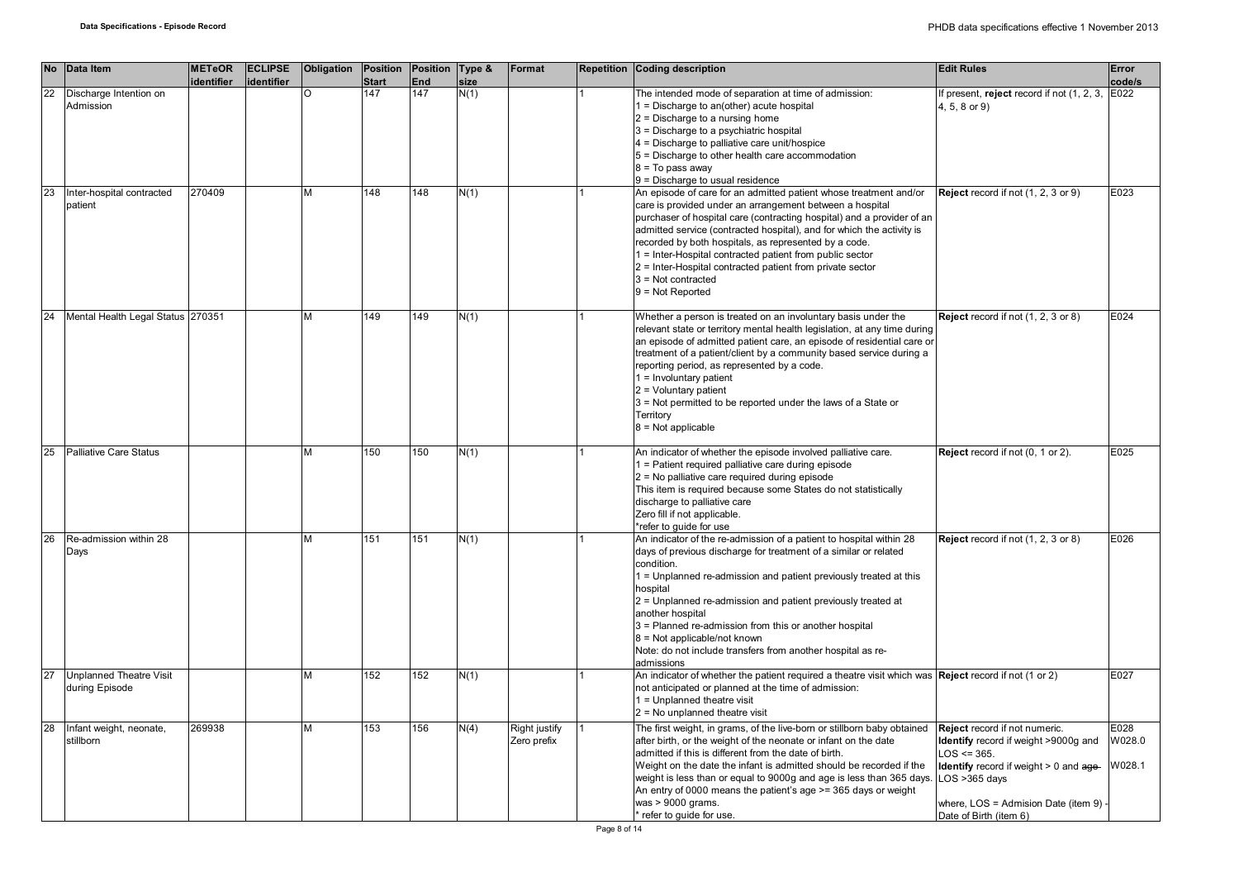|    | No Data Item                                     | <b>METeOR</b> | <b>ECLIPSE</b> | <b>Obligation Position</b> |              | Position   Type & |      | Format                       | Repetition Coding description                                                                                                                                                                                                                                                                                                                                                                                                                                                                                    | <b>Edit Rules</b>                                                                                                                                                                                                   | Error                    |
|----|--------------------------------------------------|---------------|----------------|----------------------------|--------------|-------------------|------|------------------------------|------------------------------------------------------------------------------------------------------------------------------------------------------------------------------------------------------------------------------------------------------------------------------------------------------------------------------------------------------------------------------------------------------------------------------------------------------------------------------------------------------------------|---------------------------------------------------------------------------------------------------------------------------------------------------------------------------------------------------------------------|--------------------------|
|    |                                                  | identifier    | identifier     |                            | <b>Start</b> | <b>End</b>        | size |                              |                                                                                                                                                                                                                                                                                                                                                                                                                                                                                                                  |                                                                                                                                                                                                                     | code/s                   |
| 22 | Discharge Intention on<br>Admission              |               |                | $\Omega$                   | 147          | 147               | N(1) |                              | The intended mode of separation at time of admission:<br>$1 =$ Discharge to an(other) acute hospital<br>$2$ = Discharge to a nursing home<br>3 = Discharge to a psychiatric hospital<br>4 = Discharge to palliative care unit/hospice                                                                                                                                                                                                                                                                            | f present, reject record if not (1, 2, 3,<br>4, 5, 8 or 9)                                                                                                                                                          | E022                     |
|    |                                                  |               |                |                            |              |                   |      |                              | 5 = Discharge to other health care accommodation<br>8 = To pass away<br>9 = Discharge to usual residence                                                                                                                                                                                                                                                                                                                                                                                                         |                                                                                                                                                                                                                     |                          |
| 23 | Inter-hospital contracted<br>patient             | 270409        |                | M                          | 148          | 148               | N(1) |                              | An episode of care for an admitted patient whose treatment and/or<br>care is provided under an arrangement between a hospital<br>purchaser of hospital care (contracting hospital) and a provider of an<br>admitted service (contracted hospital), and for which the activity is<br>recorded by both hospitals, as represented by a code.<br>1 = Inter-Hospital contracted patient from public sector<br>2 = Inter-Hospital contracted patient from private sector<br>$3$ = Not contracted<br>$9 = Not Repotted$ | Reject record if not (1, 2, 3 or 9)                                                                                                                                                                                 | E023                     |
| 24 | Mental Health Legal Status 270351                |               |                | М                          | 149          | 149               | N(1) |                              | Whether a person is treated on an involuntary basis under the<br>relevant state or territory mental health legislation, at any time during<br>an episode of admitted patient care, an episode of residential care or<br>treatment of a patient/client by a community based service during a<br>reporting period, as represented by a code.<br>$1 =$ Involuntary patient<br>$2 =$ Voluntary patient<br>3 = Not permitted to be reported under the laws of a State or<br>Territory<br>$8 = Not applicable$         | Reject record if not (1, 2, 3 or 8)                                                                                                                                                                                 | E024                     |
| 25 | <b>Palliative Care Status</b>                    |               |                | м                          | 150          | 150               | N(1) |                              | An indicator of whether the episode involved palliative care.<br>1 = Patient required palliative care during episode<br>$2$ = No palliative care required during episode<br>This item is required because some States do not statistically<br>discharge to palliative care<br>Zero fill if not applicable.<br>*refer to guide for use                                                                                                                                                                            | Reject record if not (0, 1 or 2).                                                                                                                                                                                   | E025                     |
| 26 | Re-admission within 28<br>Days                   |               |                | M                          | 151          | 151               | N(1) |                              | An indicator of the re-admission of a patient to hospital within 28<br>days of previous discharge for treatment of a similar or related<br>condition.<br>1 = Unplanned re-admission and patient previously treated at this<br>hospital<br>2 = Unplanned re-admission and patient previously treated at<br>another hospital<br>3 = Planned re-admission from this or another hospital<br>$8 = Not applicable/not known$<br>Note: do not include transfers from another hospital as re-<br>admissions              | Reject record if not (1, 2, 3 or 8)                                                                                                                                                                                 | E026                     |
| 27 | <b>Unplanned Theatre Visit</b><br>during Episode |               |                | M                          | 152          | 152               | N(1) |                              | An indicator of whether the patient required a theatre visit which was Reject record if not (1 or 2)<br>not anticipated or planned at the time of admission:<br>1 = Unplanned theatre visit<br>$2$ = No unplanned theatre visit                                                                                                                                                                                                                                                                                  |                                                                                                                                                                                                                     | E027                     |
| 28 | Infant weight, neonate,<br>stillborn             | 269938        |                | M                          | 153          | 156               | N(4) | Right justify<br>Zero prefix | The first weight, in grams, of the live-born or stillborn baby obtained<br>after birth, or the weight of the neonate or infant on the date<br>admitted if this is different from the date of birth.<br>Weight on the date the infant is admitted should be recorded if the<br>weight is less than or equal to 9000g and age is less than 365 days.<br>An entry of 0000 means the patient's age $\ge$ = 365 days or weight<br>was > 9000 grams.<br>* refer to guide for use.                                      | Reject record if not numeric.<br>Identify record if weight >9000g and<br>$LOS \le 365.$<br>Identify record if weight > 0 and age-<br>-OS >365 days<br>where, LOS = Admision Date (item 9)<br>Date of Birth (item 6) | E028<br>W028.0<br>W028.1 |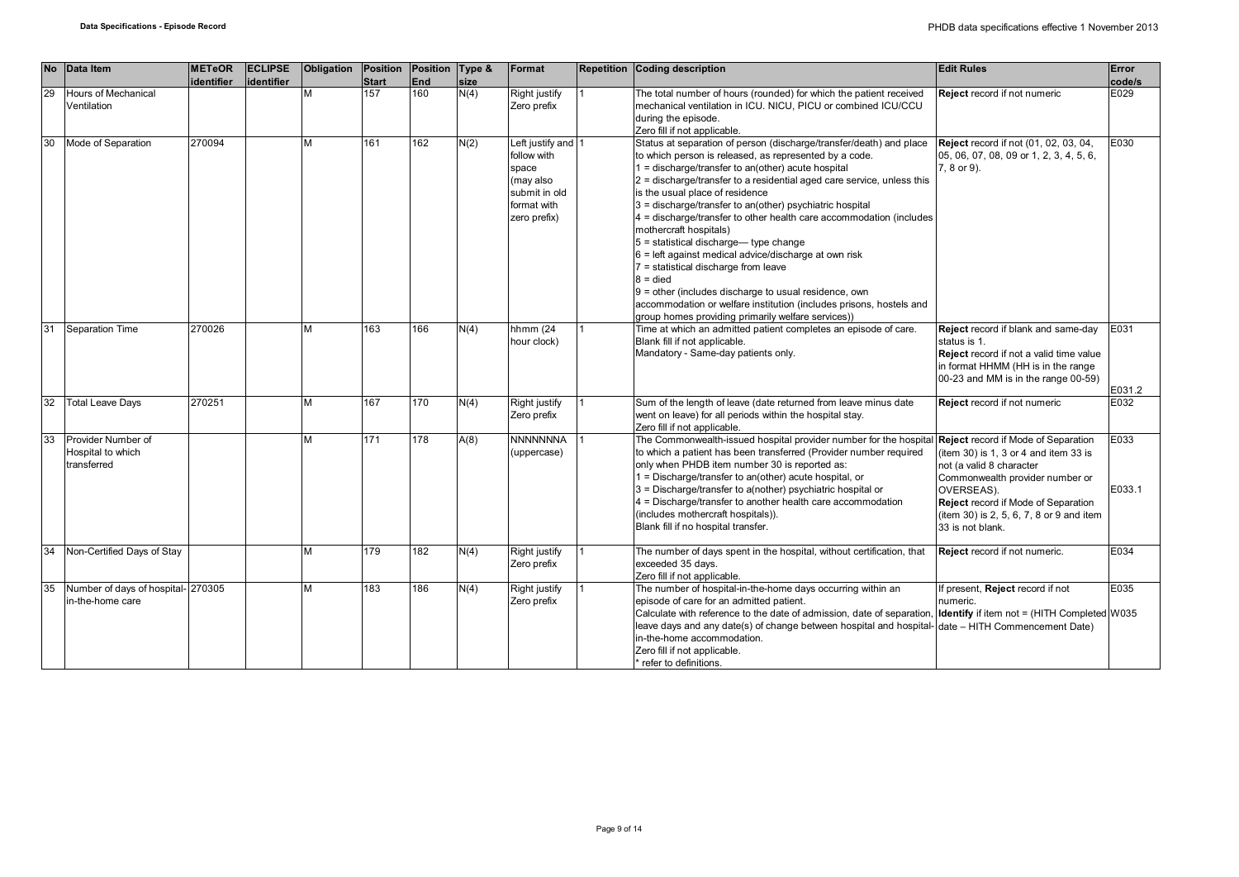| No | Data Item                                              | <b>METeOR</b><br>identifier | <b>ECLIPSE</b><br>identifier | Obligation | Position<br><b>Start</b> | Position Type &<br><b>End</b> | size | Format                                                                                                  | <b>Repetition Coding description</b>                                                                                                                                                                                                                                                                                                                                                                                                                                                                                                                                                                                                                                                                                                                                                                               | <b>Edit Rules</b>                                                                                                                                                                                                                                                       | Error<br>code/s |
|----|--------------------------------------------------------|-----------------------------|------------------------------|------------|--------------------------|-------------------------------|------|---------------------------------------------------------------------------------------------------------|--------------------------------------------------------------------------------------------------------------------------------------------------------------------------------------------------------------------------------------------------------------------------------------------------------------------------------------------------------------------------------------------------------------------------------------------------------------------------------------------------------------------------------------------------------------------------------------------------------------------------------------------------------------------------------------------------------------------------------------------------------------------------------------------------------------------|-------------------------------------------------------------------------------------------------------------------------------------------------------------------------------------------------------------------------------------------------------------------------|-----------------|
| 29 | Hours of Mechanical<br>Ventilation                     |                             |                              | М          | 157                      | 160                           | N(4) | Right justify<br>Zero prefix                                                                            | The total number of hours (rounded) for which the patient received<br>mechanical ventilation in ICU. NICU, PICU or combined ICU/CCU<br>during the episode.<br>Zero fill if not applicable.                                                                                                                                                                                                                                                                                                                                                                                                                                                                                                                                                                                                                         | <b>Reject</b> record if not numeric                                                                                                                                                                                                                                     | E029            |
| 30 | Mode of Separation                                     | 270094                      |                              | М          | 161                      | 162                           | N(2) | Left justify and 1<br>follow with<br>space<br>(may also<br>submit in old<br>format with<br>zero prefix) | Status at separation of person (discharge/transfer/death) and place<br>to which person is released, as represented by a code.<br>1 = discharge/transfer to an(other) acute hospital<br>2 = discharge/transfer to a residential aged care service, unless this<br>is the usual place of residence<br>3 = discharge/transfer to an(other) psychiatric hospital<br>4 = discharge/transfer to other health care accommodation (includes<br>mothercraft hospitals)<br>$5$ = statistical discharge— type change<br>$6$ = left against medical advice/discharge at own risk<br>7 = statistical discharge from leave<br>$8 =$ died<br>$9$ = other (includes discharge to usual residence, own<br>accommodation or welfare institution (includes prisons, hostels and<br>group homes providing primarily welfare services)) | <b>Reject</b> record if not (01, 02, 03, 04,<br>05, 06, 07, 08, 09 or 1, 2, 3, 4, 5, 6,<br>7, 8 or 9).                                                                                                                                                                  | E030            |
| 31 | Separation Time                                        | 270026                      |                              | M          | 163                      | 166                           | N(4) | hhmm $(24)$<br>hour clock)                                                                              | Time at which an admitted patient completes an episode of care.<br>Blank fill if not applicable.<br>Mandatory - Same-day patients only.                                                                                                                                                                                                                                                                                                                                                                                                                                                                                                                                                                                                                                                                            | Reject record if blank and same-day<br>status is 1.<br><b>Reject</b> record if not a valid time value<br>in format HHMM (HH is in the range<br>00-23 and MM is in the range 00-59)                                                                                      | E031<br>E031.2  |
| 32 | <b>Total Leave Days</b>                                | 270251                      |                              | М          | 167                      | 170                           | N(4) | Right justify<br>Zero prefix                                                                            | Sum of the length of leave (date returned from leave minus date<br>went on leave) for all periods within the hospital stay.<br>Zero fill if not applicable.                                                                                                                                                                                                                                                                                                                                                                                                                                                                                                                                                                                                                                                        | Reject record if not numeric                                                                                                                                                                                                                                            | E032            |
| 33 | Provider Number of<br>Hospital to which<br>transferred |                             |                              | М          | 171                      | 178                           | A(8) | <b>NNNNNNNA</b><br>(uppercase)                                                                          | The Commonwealth-issued hospital provider number for the hospital<br>to which a patient has been transferred (Provider number required<br>only when PHDB item number 30 is reported as:<br>1 = Discharge/transfer to an(other) acute hospital, or<br>3 = Discharge/transfer to a(nother) psychiatric hospital or<br>4 = Discharge/transfer to another health care accommodation<br>(includes mothercraft hospitals)).<br>Blank fill if no hospital transfer.                                                                                                                                                                                                                                                                                                                                                       | <b>Reject</b> record if Mode of Separation<br>(item 30) is 1, 3 or 4 and item 33 is<br>not (a valid 8 character<br>Commonwealth provider number or<br>OVERSEAS).<br>Reject record if Mode of Separation<br>(item 30) is 2, 5, 6, 7, 8 or 9 and item<br>33 is not blank. | E033<br>E033.1  |
| 34 | Non-Certified Days of Stay                             |                             |                              | М          | 179                      | 182                           | N(4) | Right justify<br>Zero prefix                                                                            | The number of days spent in the hospital, without certification, that<br>exceeded 35 days.<br>Zero fill if not applicable.                                                                                                                                                                                                                                                                                                                                                                                                                                                                                                                                                                                                                                                                                         | Reject record if not numeric.                                                                                                                                                                                                                                           | E034            |
| 35 | Number of days of hospital- 270305<br>in-the-home care |                             |                              | M          | 183                      | 186                           | N(4) | Right justify<br>Zero prefix                                                                            | The number of hospital-in-the-home days occurring within an<br>episode of care for an admitted patient.<br>Calculate with reference to the date of admission, date of separation, Identify if item not = (HITH Completed W035<br>leave days and any date(s) of change between hospital and hospital-date – HITH Commencement Date)<br>in-the-home accommodation.<br>Zero fill if not applicable.<br>refer to definitions.                                                                                                                                                                                                                                                                                                                                                                                          | If present, Reject record if not<br>numeric.                                                                                                                                                                                                                            | E035            |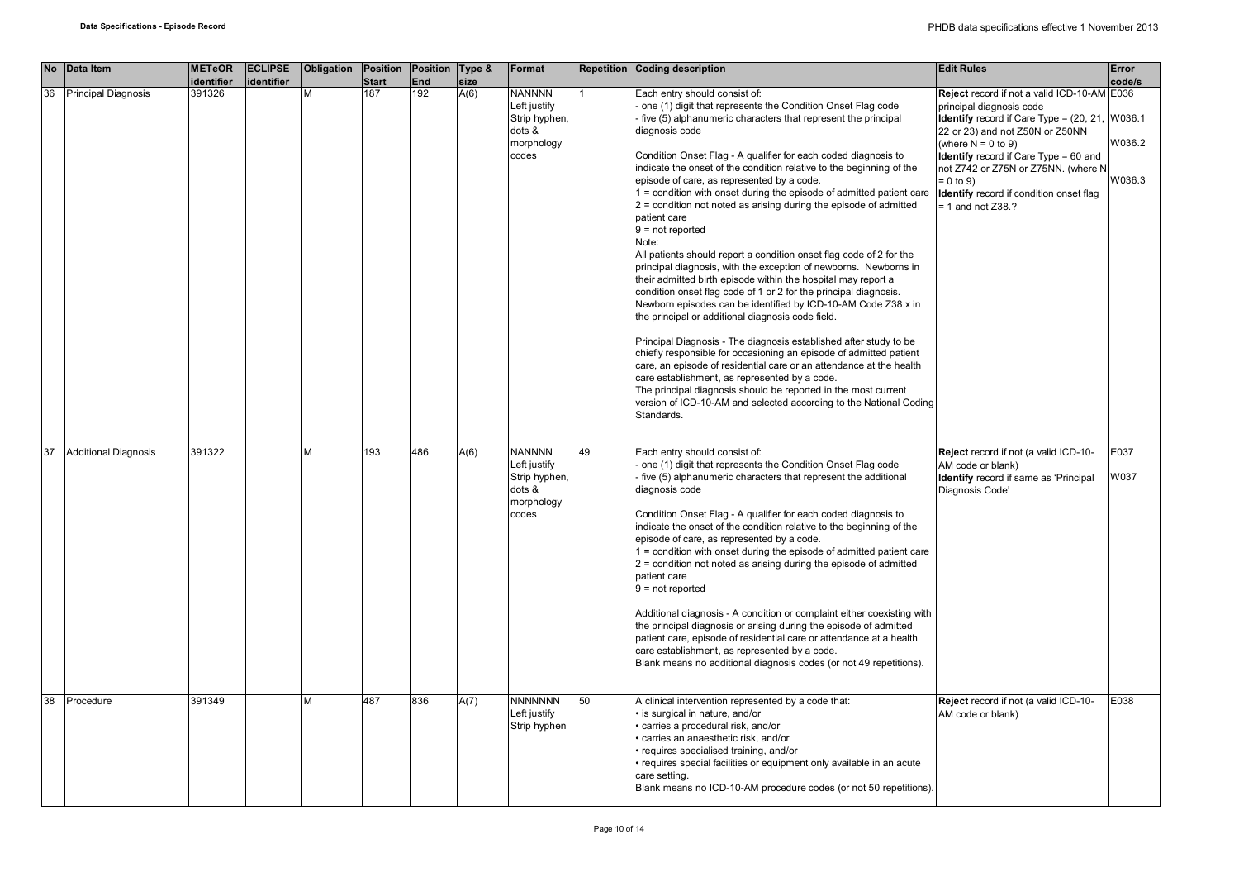| <b>No</b> | Data Item                   | <b>METeOR</b><br>identifier | <b>ECLIPSE</b><br>identifier | <b>Obligation</b> | Position<br><b>Start</b> | Position   Type &<br><b>End</b> | size | Format                                                                          |    | <b>Repetition Coding description</b>                                                                                                                                                                                                                                                                                                                                                                                                                                                                                                                                                                                                                                                                                                                                                                                                                                                                                                                                                                                                                                                                                                                                                                                                                                                                                                                                                                 | <b>Edit Rules</b>                                                                                                                                                                                                                                                                                                                                                       | Error<br>code/s  |
|-----------|-----------------------------|-----------------------------|------------------------------|-------------------|--------------------------|---------------------------------|------|---------------------------------------------------------------------------------|----|------------------------------------------------------------------------------------------------------------------------------------------------------------------------------------------------------------------------------------------------------------------------------------------------------------------------------------------------------------------------------------------------------------------------------------------------------------------------------------------------------------------------------------------------------------------------------------------------------------------------------------------------------------------------------------------------------------------------------------------------------------------------------------------------------------------------------------------------------------------------------------------------------------------------------------------------------------------------------------------------------------------------------------------------------------------------------------------------------------------------------------------------------------------------------------------------------------------------------------------------------------------------------------------------------------------------------------------------------------------------------------------------------|-------------------------------------------------------------------------------------------------------------------------------------------------------------------------------------------------------------------------------------------------------------------------------------------------------------------------------------------------------------------------|------------------|
| 36        | Principal Diagnosis         | 391326                      |                              | М                 | 187                      | 192                             | A(6) | <b>NANNNN</b><br>Left justify<br>Strip hyphen,<br>dots &<br>morphology<br>codes |    | Each entry should consist of:<br>one (1) digit that represents the Condition Onset Flag code<br>five (5) alphanumeric characters that represent the principal<br>diagnosis code<br>Condition Onset Flag - A qualifier for each coded diagnosis to<br>indicate the onset of the condition relative to the beginning of the<br>episode of care, as represented by a code.<br>1 = condition with onset during the episode of admitted patient care<br>$2$ = condition not noted as arising during the episode of admitted<br>patient care<br>$9 = not reported$<br>Note:<br>All patients should report a condition onset flag code of 2 for the<br>principal diagnosis, with the exception of newborns. Newborns in<br>their admitted birth episode within the hospital may report a<br>condition onset flag code of 1 or 2 for the principal diagnosis.<br>Newborn episodes can be identified by ICD-10-AM Code Z38.x in<br>the principal or additional diagnosis code field.<br>Principal Diagnosis - The diagnosis established after study to be<br>chiefly responsible for occasioning an episode of admitted patient<br>care, an episode of residential care or an attendance at the health<br>care establishment, as represented by a code.<br>The principal diagnosis should be reported in the most current<br>version of ICD-10-AM and selected according to the National Coding<br>Standards. | Reject record if not a valid ICD-10-AM E036<br>principal diagnosis code<br><b>Identify</b> record if Care Type = $(20, 21,  W036.1)$<br>22 or 23) and not Z50N or Z50NN<br>(where $N = 0$ to 9)<br><b>Identify</b> record if Care Type = 60 and<br>not Z742 or Z75N or Z75NN. (where N<br>$= 0$ to 9)<br>Identify record if condition onset flag<br>$= 1$ and not Z38.? | W036.2<br>W036.3 |
| 37        | <b>Additional Diagnosis</b> | 391322                      |                              | М                 | 193                      | 486                             | A(6) | <b>NANNNN</b><br>Left justify<br>Strip hyphen,<br>dots &<br>morphology<br>codes | 49 | Each entry should consist of:<br>one (1) digit that represents the Condition Onset Flag code<br>- five (5) alphanumeric characters that represent the additional<br>diagnosis code<br>Condition Onset Flag - A qualifier for each coded diagnosis to<br>indicate the onset of the condition relative to the beginning of the<br>episode of care, as represented by a code.<br>1 = condition with onset during the episode of admitted patient care<br>$2$ = condition not noted as arising during the episode of admitted<br>patient care<br>$9 = not reported$<br>Additional diagnosis - A condition or complaint either coexisting with<br>the principal diagnosis or arising during the episode of admitted<br>patient care, episode of residential care or attendance at a health<br>care establishment, as represented by a code.<br>Blank means no additional diagnosis codes (or not 49 repetitions).                                                                                                                                                                                                                                                                                                                                                                                                                                                                                         | Reject record if not (a valid ICD-10-<br>AM code or blank)<br>Identify record if same as 'Principal<br>Diagnosis Code'                                                                                                                                                                                                                                                  | E037<br>W037     |
| 38        | Procedure                   | 391349                      |                              | M                 | 487                      | 836                             | A(7) | <b>NNNNNNN</b><br>Left justify<br>Strip hyphen                                  | 50 | A clinical intervention represented by a code that:<br>· is surgical in nature, and/or<br>· carries a procedural risk, and/or<br>carries an anaesthetic risk, and/or<br>· requires specialised training, and/or<br>· requires special facilities or equipment only available in an acute<br>care setting.<br>Blank means no ICD-10-AM procedure codes (or not 50 repetitions).                                                                                                                                                                                                                                                                                                                                                                                                                                                                                                                                                                                                                                                                                                                                                                                                                                                                                                                                                                                                                       | Reject record if not (a valid ICD-10-<br>AM code or blank)                                                                                                                                                                                                                                                                                                              | E038             |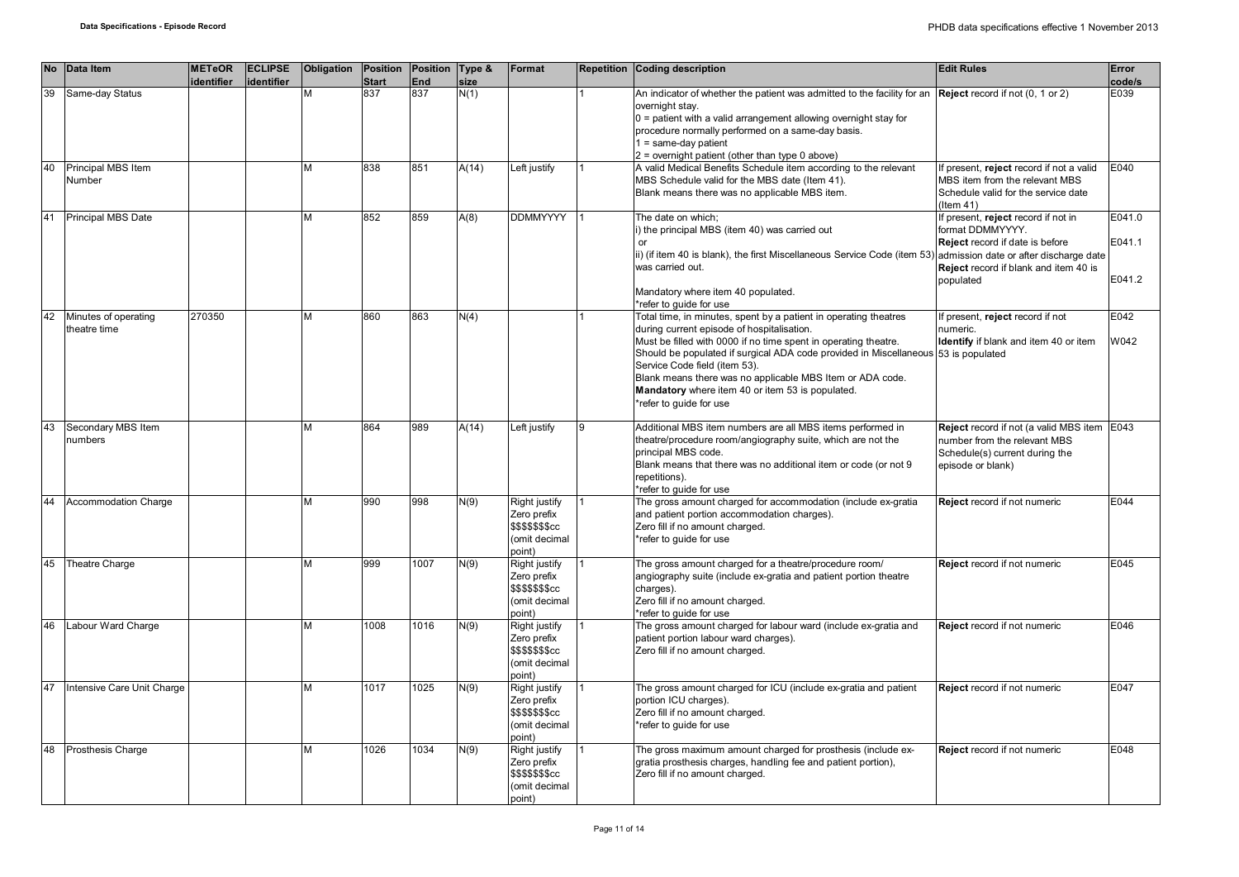| <b>No</b> | Data Item                            | <b>METeOR</b><br>identifier | <b>ECLIPSE</b><br>identifier | Obligation | Position<br><b>Start</b> | Position Type &<br>End | size  | Format                                                                             |   | Repetition Coding description                                                                                                                                                                                                                                                                                                                                                                                                                       | <b>Edit Rules</b>                                                                                                                                | Error<br>code/s            |
|-----------|--------------------------------------|-----------------------------|------------------------------|------------|--------------------------|------------------------|-------|------------------------------------------------------------------------------------|---|-----------------------------------------------------------------------------------------------------------------------------------------------------------------------------------------------------------------------------------------------------------------------------------------------------------------------------------------------------------------------------------------------------------------------------------------------------|--------------------------------------------------------------------------------------------------------------------------------------------------|----------------------------|
| 39        | Same-day Status                      |                             |                              |            | 837                      | $\overline{837}$       | N(1)  |                                                                                    |   | An indicator of whether the patient was admitted to the facility for an Reject record if not (0, 1 or 2)<br>overnight stay.<br>$0 =$ patient with a valid arrangement allowing overnight stay for<br>procedure normally performed on a same-day basis.<br>$1 = same-day patient$<br>2 = overnight patient (other than type 0 above)                                                                                                                 |                                                                                                                                                  | E039                       |
| 40        | Principal MBS Item<br>Number         |                             |                              | М          | 838                      | 851                    | A(14) | Left justify                                                                       |   | A valid Medical Benefits Schedule item according to the relevant<br>MBS Schedule valid for the MBS date (Item 41).<br>Blank means there was no applicable MBS item.                                                                                                                                                                                                                                                                                 | If present, reject record if not a valid<br>MBS item from the relevant MBS<br>Schedule valid for the service date<br>$($ ltem 41)                | E040                       |
| 41        | Principal MBS Date                   |                             |                              | М          | 852                      | 859                    | A(8)  | <b>DDMMYYYY</b>                                                                    |   | The date on which;<br>i) the principal MBS (item 40) was carried out<br>$\alpha$ r<br>ii) (if item 40 is blank), the first Miscellaneous Service Code (item 53) admission date or after discharge date<br>was carried out.                                                                                                                                                                                                                          | If present, reject record if not in<br>format DDMMYYYY.<br>Reject record if date is before<br>Reject record if blank and item 40 is<br>populated | E041.0<br>E041.1<br>E041.2 |
|           |                                      |                             |                              |            |                          |                        |       |                                                                                    |   | Mandatory where item 40 populated.<br>refer to guide for use                                                                                                                                                                                                                                                                                                                                                                                        |                                                                                                                                                  |                            |
| 42        | Minutes of operating<br>theatre time | 270350                      |                              | М          | 860                      | 863                    | N(4)  |                                                                                    |   | Total time, in minutes, spent by a patient in operating theatres<br>during current episode of hospitalisation.<br>Must be filled with 0000 if no time spent in operating theatre.<br>Should be populated if surgical ADA code provided in Miscellaneous 53 is populated<br>Service Code field (item 53).<br>Blank means there was no applicable MBS Item or ADA code.<br>Mandatory where item 40 or item 53 is populated.<br>refer to quide for use | If present, reject record if not<br>numeric.<br>Identify if blank and item 40 or item                                                            | E042<br>W042               |
| 43        | Secondary MBS Item<br>numbers        |                             |                              | М          | 864                      | 989                    | A(14) | Left justify                                                                       | 9 | Additional MBS item numbers are all MBS items performed in<br>theatre/procedure room/angiography suite, which are not the<br>principal MBS code.<br>Blank means that there was no additional item or code (or not 9<br>repetitions).<br>*refer to quide for use                                                                                                                                                                                     | Reject record if not (a valid MBS item E043<br>number from the relevant MBS<br>Schedule(s) current during the<br>episode or blank)               |                            |
| 44        | Accommodation Charge                 |                             |                              | М          | 990                      | 998                    | N(9)  | Right justify<br>Zero prefix<br>\$\$\$\$\$\$\$cc<br>(omit decimal<br>point)        |   | The gross amount charged for accommodation (include ex-gratia<br>and patient portion accommodation charges).<br>Zero fill if no amount charged.<br>*refer to quide for use                                                                                                                                                                                                                                                                          | Reject record if not numeric                                                                                                                     | E044                       |
| 45        | Theatre Charge                       |                             |                              | М          | 999                      | 1007                   | N(9)  | Right justify<br>Zero prefix<br><b>\$\$\$\$\$\$\$cc</b><br>(omit decimal<br>point) |   | The gross amount charged for a theatre/procedure room/<br>angiography suite (include ex-gratia and patient portion theatre<br>charges).<br>Zero fill if no amount charged.<br>*refer to quide for use                                                                                                                                                                                                                                               | Reject record if not numeric                                                                                                                     | E045                       |
| 46        | Labour Ward Charge                   |                             |                              | М          | 1008                     | 1016                   | N(9)  | Right justify<br>Zero prefix<br><b>\$\$\$\$\$\$\$cc</b><br>(omit decimal<br>point) |   | The gross amount charged for labour ward (include ex-gratia and<br>patient portion labour ward charges).<br>Zero fill if no amount charged.                                                                                                                                                                                                                                                                                                         | Reject record if not numeric                                                                                                                     | E046                       |
| 47        | Intensive Care Unit Charge           |                             |                              | М          | 1017                     | 1025                   | N(9)  | Right justify<br>Zero prefix<br>\$\$\$\$\$\$\$cc<br>(omit decimal<br>point)        |   | The gross amount charged for ICU (include ex-gratia and patient<br>portion ICU charges).<br>Zero fill if no amount charged.<br>refer to quide for use                                                                                                                                                                                                                                                                                               | Reject record if not numeric                                                                                                                     | E047                       |
| 48        | Prosthesis Charge                    |                             |                              | м          | 1026                     | 1034                   | N(9)  | Right justify<br>Zero prefix<br>\$\$\$\$\$\$\$cc<br>(omit decimal<br>point)        |   | The gross maximum amount charged for prosthesis (include ex-<br>gratia prosthesis charges, handling fee and patient portion),<br>Zero fill if no amount charged.                                                                                                                                                                                                                                                                                    | <b>Reject</b> record if not numeric                                                                                                              | E048                       |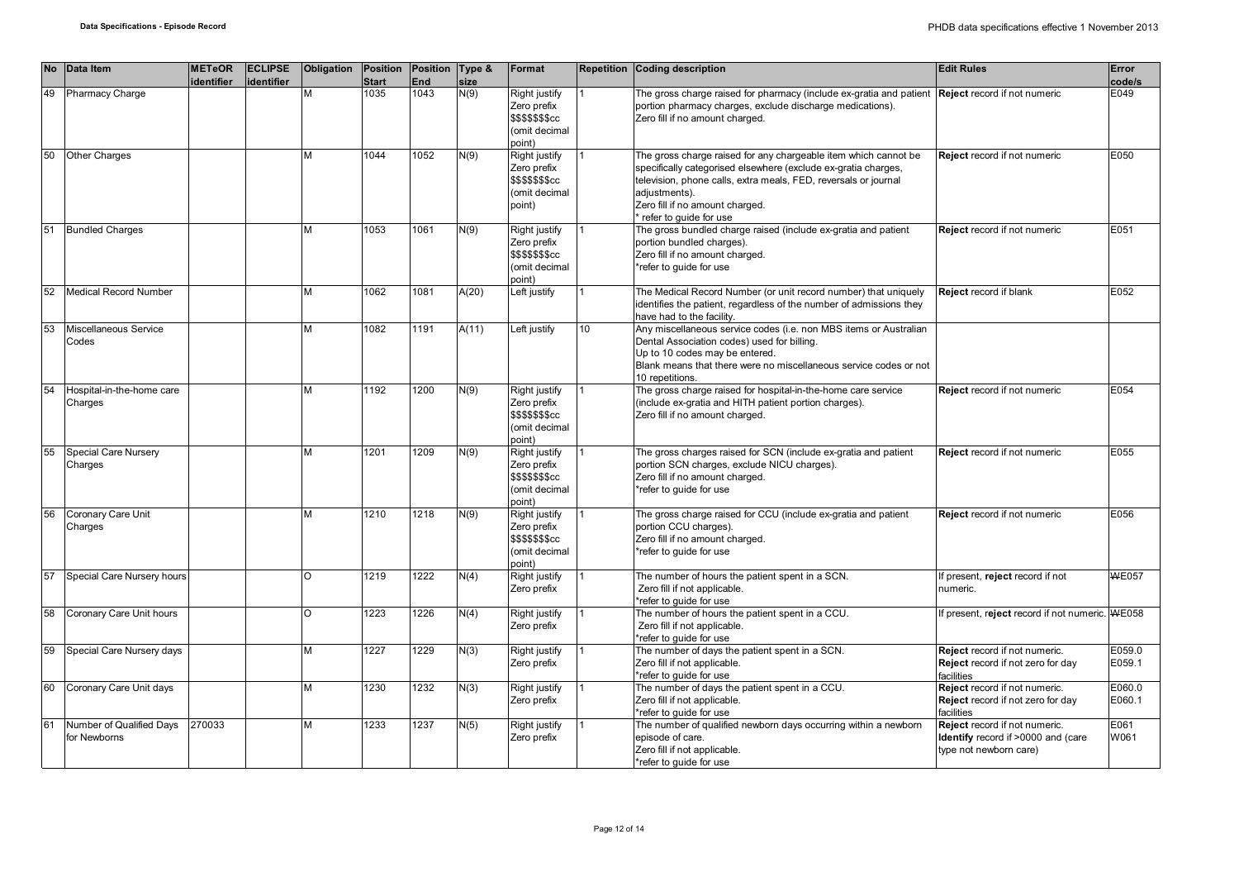| <b>No</b> | Data Item                                | <b>METeOR</b><br>identifier | <b>ECLIPSE</b><br>identifier | Obligation | Position<br><b>Start</b> | Position Type &<br>End | size  | Format                                                                      |    | Repetition Coding description                                                                                                                                                                                                                                                      | <b>Edit Rules</b>                                                                             | Error<br>code/s  |
|-----------|------------------------------------------|-----------------------------|------------------------------|------------|--------------------------|------------------------|-------|-----------------------------------------------------------------------------|----|------------------------------------------------------------------------------------------------------------------------------------------------------------------------------------------------------------------------------------------------------------------------------------|-----------------------------------------------------------------------------------------------|------------------|
| 49        | <b>Pharmacy Charge</b>                   |                             |                              | M          | 1035                     | 1043                   | N(9)  | Right justify<br>Zero prefix<br>\$\$\$\$\$\$\$cc<br>(omit decimal<br>(point |    | The gross charge raised for pharmacy (include ex-gratia and patient <b>Reject</b> record if not numeric<br>portion pharmacy charges, exclude discharge medications).<br>Zero fill if no amount charged.                                                                            |                                                                                               | E049             |
| 50        | Other Charges                            |                             |                              | M          | 1044                     | 1052                   | N(9)  | Right justify<br>Zero prefix<br>\$\$\$\$\$\$\$cc<br>(omit decimal<br>point) |    | The gross charge raised for any chargeable item which cannot be<br>specifically categorised elsewhere (exclude ex-gratia charges,<br>television, phone calls, extra meals, FED, reversals or journal<br>adjustments).<br>Zero fill if no amount charged.<br>refer to guide for use | Reject record if not numeric                                                                  | E050             |
| 51        | <b>Bundled Charges</b>                   |                             |                              | M          | 1053                     | 1061                   | N(9)  | Right justify<br>Zero prefix<br>\$\$\$\$\$\$\$cc<br>(omit decimal<br>point) |    | The gross bundled charge raised (include ex-gratia and patient<br>portion bundled charges).<br>Zero fill if no amount charged.<br>*refer to guide for use                                                                                                                          | Reject record if not numeric                                                                  | E051             |
| 52        | <b>Medical Record Number</b>             |                             |                              | M          | 1062                     | 1081                   | A(20) | Left justify                                                                |    | The Medical Record Number (or unit record number) that uniquely<br>identifies the patient, regardless of the number of admissions they<br>have had to the facility.                                                                                                                | <b>Reject record if blank</b>                                                                 | E052             |
| 53        | Miscellaneous Service<br>Codes           |                             |                              | M          | 1082                     | 1191                   | A(11) | Left justify                                                                | 10 | Any miscellaneous service codes (i.e. non MBS items or Australian<br>Dental Association codes) used for billing.<br>Up to 10 codes may be entered.<br>Blank means that there were no miscellaneous service codes or not<br>10 repetitions.                                         |                                                                                               |                  |
| 54        | Hospital-in-the-home care<br>Charges     |                             |                              | M          | 1192                     | 1200                   | N(9)  | Right justify<br>Zero prefix<br>\$\$\$\$\$\$\$cc<br>(omit decimal<br>point) |    | The gross charge raised for hospital-in-the-home care service<br>(include ex-gratia and HITH patient portion charges).<br>Zero fill if no amount charged.                                                                                                                          | <b>Reject</b> record if not numeric                                                           | E054             |
| 55        | Special Care Nursery<br>Charges          |                             |                              | M          | 1201                     | 1209                   | N(9)  | Right justify<br>Zero prefix<br>\$\$\$\$\$\$\$cc<br>(omit decimal<br>point) |    | The gross charges raised for SCN (include ex-gratia and patient<br>portion SCN charges, exclude NICU charges).<br>Zero fill if no amount charged.<br>*refer to quide for use                                                                                                       | Reject record if not numeric                                                                  | E055             |
| 56        | Coronary Care Unit<br>Charges            |                             |                              | M          | 1210                     | 1218                   | N(9)  | Right justify<br>Zero prefix<br>\$\$\$\$\$\$\$cc<br>(omit decimal<br>point) |    | The gross charge raised for CCU (include ex-gratia and patient<br>portion CCU charges).<br>Zero fill if no amount charged.<br>refer to quide for use                                                                                                                               | Reject record if not numeric                                                                  | E056             |
| 57        | Special Care Nursery hours               |                             |                              | $\circ$    | 1219                     | 1222                   | N(4)  | Right justify<br>Zero prefix                                                |    | The number of hours the patient spent in a SCN.<br>Zero fill if not applicable.<br>*refer to guide for use                                                                                                                                                                         | If present, reject record if not<br>numeric.                                                  | <b>WE057</b>     |
| 58        | Coronary Care Unit hours                 |                             |                              | $\circ$    | 1223                     | 1226                   | N(4)  | Right justify<br>Zero prefix                                                |    | The number of hours the patient spent in a CCU.<br>Zero fill if not applicable.<br>*refer to guide for use                                                                                                                                                                         | f present, reject record if not numeric. WE058                                                |                  |
| 59        | Special Care Nursery days                |                             |                              | M          | 1227                     | 1229                   | N(3)  | Right justify<br>Zero prefix                                                |    | The number of days the patient spent in a SCN.<br>Zero fill if not applicable.<br>*refer to quide for use                                                                                                                                                                          | Reject record if not numeric.<br>Reject record if not zero for day<br>facilities              | E059.0<br>E059.1 |
| 60        | Coronary Care Unit days                  |                             |                              | M          | 1230                     | 1232                   | N(3)  | Right justify<br>Zero prefix                                                |    | The number of days the patient spent in a CCU.<br>Zero fill if not applicable.<br>*refer to guide for use                                                                                                                                                                          | Reject record if not numeric.<br>Reject record if not zero for day<br>facilities              | E060.0<br>E060.1 |
| 61        | Number of Qualified Days<br>for Newborns | 270033                      |                              | M          | 1233                     | 1237                   | N(5)  | Right justify<br>Zero prefix                                                |    | The number of qualified newborn days occurring within a newborn<br>episode of care.<br>Zero fill if not applicable.<br>*refer to quide for use                                                                                                                                     | Reject record if not numeric.<br>Identify record if >0000 and (care<br>type not newborn care) | E061<br>W061     |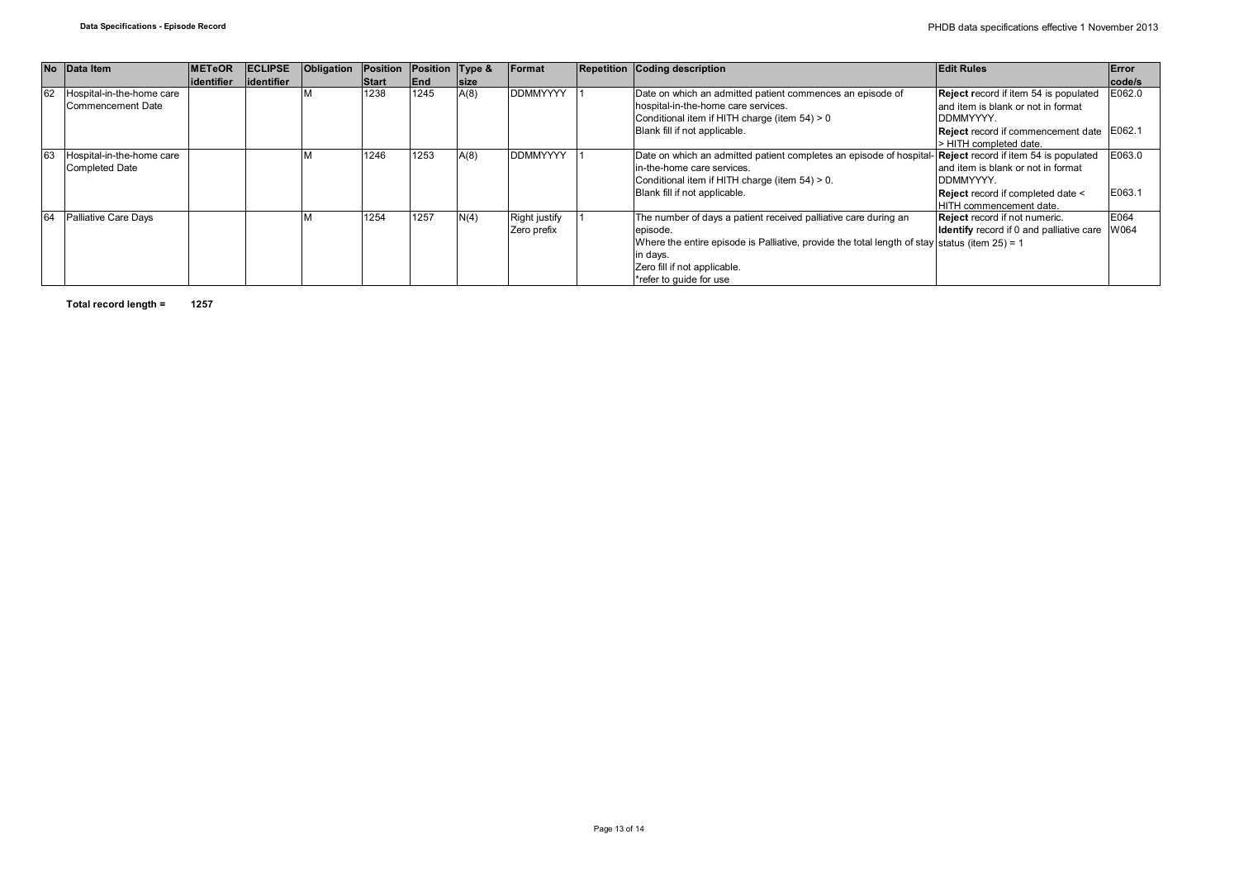|    | No Data Item              | <b>METeOR</b> | <b>ECLIPSE</b> | Obligation | Position     | Position Type & |             | Format               | <b>Repetition Coding description</b>                                                                             | <b>Edit Rules</b>                                    | <b>Error</b> |
|----|---------------------------|---------------|----------------|------------|--------------|-----------------|-------------|----------------------|------------------------------------------------------------------------------------------------------------------|------------------------------------------------------|--------------|
|    |                           | lidentifier   | lidentifier    |            | <b>Start</b> | End             | <b>Size</b> |                      |                                                                                                                  |                                                      | code/s       |
| 62 | Hospital-in-the-home care |               |                |            | 1238         | 1245            | A(8)        | <b>DDMMYYYY</b>      | Date on which an admitted patient commences an episode of                                                        | Reject record if item 54 is populated                | E062.0       |
|    | Commencement Date         |               |                |            |              |                 |             |                      | hospital-in-the-home care services.                                                                              | land item is blank or not in format                  |              |
|    |                           |               |                |            |              |                 |             |                      | Conditional item if HITH charge (item 54) > 0                                                                    | <b>IDDMMYYYY.</b>                                    |              |
|    |                           |               |                |            |              |                 |             |                      | Blank fill if not applicable.                                                                                    | <b>Reject</b> record if commencement date E062.1     |              |
|    |                           |               |                |            |              |                 |             |                      |                                                                                                                  | > HITH completed date.                               |              |
| 63 | Hospital-in-the-home care |               |                |            | 1246         | 1253            | A(8)        | <b>DDMMYYYY</b>      | Date on which an admitted patient completes an episode of hospital- <b>Reject</b> record if item 54 is populated |                                                      | E063.0       |
|    | <b>Completed Date</b>     |               |                |            |              |                 |             |                      | in-the-home care services.                                                                                       | and item is blank or not in format                   |              |
|    |                           |               |                |            |              |                 |             |                      | Conditional item if HITH charge (item 54) > 0.                                                                   | <b>IDDMMYYYY.</b>                                    |              |
|    |                           |               |                |            |              |                 |             |                      | Blank fill if not applicable.                                                                                    | Reject record if completed date <                    | E063.1       |
|    |                           |               |                |            |              |                 |             |                      |                                                                                                                  | HITH commencement date.                              |              |
| 64 | Palliative Care Days      |               |                |            | 1254         | 1257            | N(4)        | <b>Right justify</b> | The number of days a patient received palliative care during an                                                  | <b>Reject</b> record if not numeric.                 | <b>E064</b>  |
|    |                           |               |                |            |              |                 |             | Zero prefix          | episode.                                                                                                         | <b>Identify</b> record if 0 and palliative care W064 |              |
|    |                           |               |                |            |              |                 |             |                      | Where the entire episode is Palliative, provide the total length of stay status (item $25$ ) = 1                 |                                                      |              |
|    |                           |               |                |            |              |                 |             |                      | in days.                                                                                                         |                                                      |              |
|    |                           |               |                |            |              |                 |             |                      | Zero fill if not applicable.                                                                                     |                                                      |              |
|    |                           |               |                |            |              |                 |             |                      | *refer to quide for use                                                                                          |                                                      |              |

**Total record length = 1257**